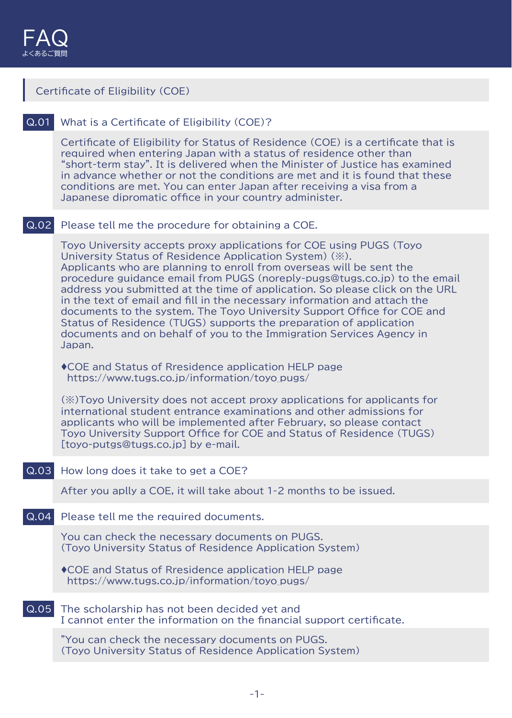| Certificate of Eligibility (COE) |                                                                                                                                                                                                                                                                                                                                                                                                                                                                                                                                                                                                                                                                                     |  |
|----------------------------------|-------------------------------------------------------------------------------------------------------------------------------------------------------------------------------------------------------------------------------------------------------------------------------------------------------------------------------------------------------------------------------------------------------------------------------------------------------------------------------------------------------------------------------------------------------------------------------------------------------------------------------------------------------------------------------------|--|
| Q.01                             | What is a Certificate of Eligibility (COE)?                                                                                                                                                                                                                                                                                                                                                                                                                                                                                                                                                                                                                                         |  |
|                                  | Certificate of Eligibility for Status of Residence (COE) is a certificate that is<br>required when entering Japan with a status of residence other than<br>"short-term stay". It is delivered when the Minister of Justice has examined<br>in advance whether or not the conditions are met and it is found that these<br>conditions are met. You can enter Japan after receiving a visa from a<br>Japanese dipromatic office in your country administer.                                                                                                                                                                                                                           |  |
| Q.02                             | Please tell me the procedure for obtaining a COE.                                                                                                                                                                                                                                                                                                                                                                                                                                                                                                                                                                                                                                   |  |
|                                  | Toyo University accepts proxy applications for COE using PUGS (Toyo<br>University Status of Residence Application System) (※).<br>Applicants who are planning to enroll from overseas will be sent the<br>procedure guidance email from PUGS (noreply-pugs@tugs.co.jp) to the email<br>address you submitted at the time of application. So please click on the URL<br>in the text of email and fill in the necessary information and attach the<br>documents to the system. The Toyo University Support Office for COE and<br>Status of Residence (TUGS) supports the preparation of application<br>documents and on behalf of you to the Immigration Services Agency in<br>Japan. |  |
|                                  | ◆ COE and Status of Rresidence application HELP page<br>https://www.tugs.co.jp/information/toyo_pugs/                                                                                                                                                                                                                                                                                                                                                                                                                                                                                                                                                                               |  |
|                                  | $(\%)$ Toyo University does not accept proxy applications for applicants for<br>international student entrance examinations and other admissions for<br>applicants who will be implemented after February, so please contact<br>Toyo University Support Office for COE and Status of Residence (TUGS)<br>[toyo-putgs@tugs.co.jp] by e-mail.                                                                                                                                                                                                                                                                                                                                         |  |
| Q.03                             | How long does it take to get a COE?                                                                                                                                                                                                                                                                                                                                                                                                                                                                                                                                                                                                                                                 |  |
|                                  | After you aplly a COE, it will take about 1-2 months to be issued.                                                                                                                                                                                                                                                                                                                                                                                                                                                                                                                                                                                                                  |  |
| Q.04                             | Please tell me the required documents.                                                                                                                                                                                                                                                                                                                                                                                                                                                                                                                                                                                                                                              |  |
|                                  | You can check the necessary documents on PUGS.<br>(Toyo University Status of Residence Application System)                                                                                                                                                                                                                                                                                                                                                                                                                                                                                                                                                                          |  |
|                                  | ◆ COE and Status of Rresidence application HELP page<br>https://www.tugs.co.jp/information/toyo_pugs/                                                                                                                                                                                                                                                                                                                                                                                                                                                                                                                                                                               |  |
| Q.05                             | The scholarship has not been decided yet and<br>I cannot enter the information on the financial support certificate.                                                                                                                                                                                                                                                                                                                                                                                                                                                                                                                                                                |  |
|                                  | "You can check the necessary documents on PUGS.<br>(Toyo University Status of Residence Application System)                                                                                                                                                                                                                                                                                                                                                                                                                                                                                                                                                                         |  |
|                                  |                                                                                                                                                                                                                                                                                                                                                                                                                                                                                                                                                                                                                                                                                     |  |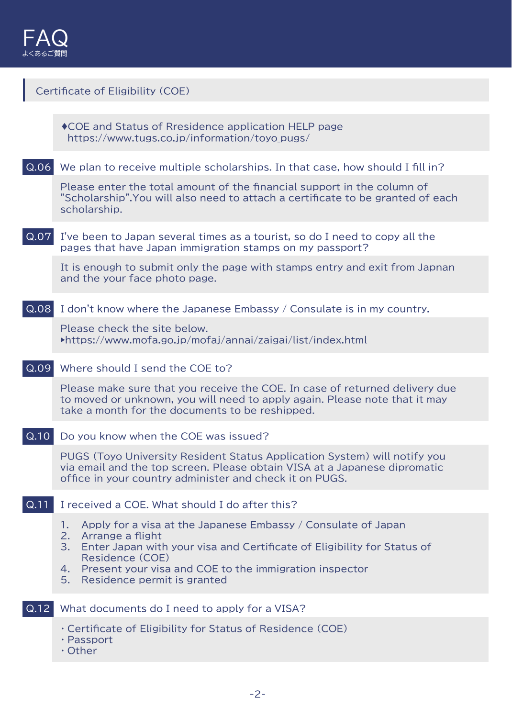| Certificate of Eligibility (COE) |                                                                                                                                                                                                                                                                                                        |  |
|----------------------------------|--------------------------------------------------------------------------------------------------------------------------------------------------------------------------------------------------------------------------------------------------------------------------------------------------------|--|
|                                  | ◆ COE and Status of Rresidence application HELP page<br>https://www.tugs.co.jp/information/toyo_pugs/                                                                                                                                                                                                  |  |
| Q.06                             | We plan to receive multiple scholarships. In that case, how should I fill in?                                                                                                                                                                                                                          |  |
|                                  | Please enter the total amount of the financial support in the column of<br>"Scholarship". You will also need to attach a certificate to be granted of each<br>scholarship.                                                                                                                             |  |
| Q.07                             | I've been to Japan several times as a tourist, so do I need to copy all the<br>pages that have Japan immigration stamps on my passport?                                                                                                                                                                |  |
|                                  | It is enough to submit only the page with stamps entry and exit from Japnan<br>and the your face photo page.                                                                                                                                                                                           |  |
| Q.08                             | I don't know where the Japanese Embassy / Consulate is in my country.                                                                                                                                                                                                                                  |  |
|                                  | Please check the site below.<br>▶https://www.mofa.go.jp/mofaj/annai/zaigai/list/index.html                                                                                                                                                                                                             |  |
| Q.09                             | Where should I send the COE to?                                                                                                                                                                                                                                                                        |  |
|                                  | Please make sure that you receive the COE. In case of returned delivery due<br>to moved or unknown, you will need to apply again. Please note that it may<br>take a month for the documents to be reshipped.                                                                                           |  |
|                                  | Do you know when the COE was issued?                                                                                                                                                                                                                                                                   |  |
|                                  | PUGS (Toyo University Resident Status Application System) will notify you<br>via email and the top screen. Please obtain VISA at a Japanese dipromatic<br>office in your country administer and check it on PUGS.                                                                                      |  |
| $\overline{Q.11}$                | I received a COE. What should I do after this?                                                                                                                                                                                                                                                         |  |
|                                  | Apply for a visa at the Japanese Embassy / Consulate of Japan<br>1.<br>2.<br>Arrange a flight<br>3.<br>Enter Japan with your visa and Certificate of Eligibility for Status of<br>Residence (COE)<br>Present your visa and COE to the immigration inspector<br>4.<br>Residence permit is granted<br>5. |  |
| Q.12                             | What documents do I need to apply for a VISA?                                                                                                                                                                                                                                                          |  |
|                                  | Certificate of Eligibility for Status of Residence (COE)<br>· Passport<br>$\cdot$ Other                                                                                                                                                                                                                |  |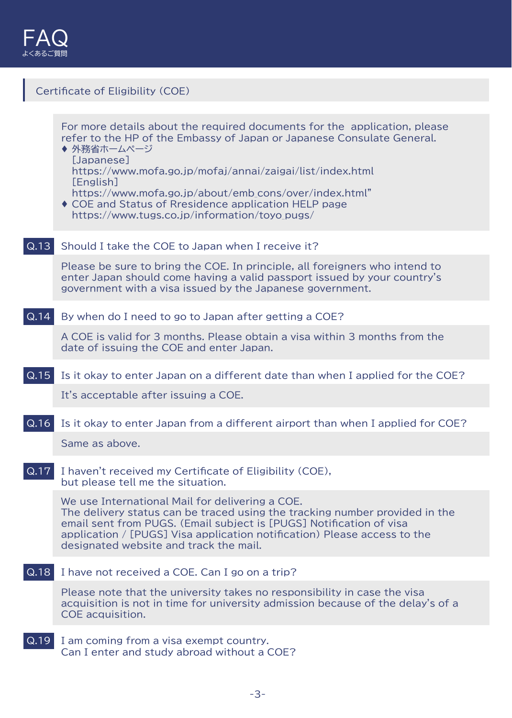

| Certificate of Eligibility (COE) |                                                                                                                                                                                                                                                                                                                                                                                                                               |  |  |
|----------------------------------|-------------------------------------------------------------------------------------------------------------------------------------------------------------------------------------------------------------------------------------------------------------------------------------------------------------------------------------------------------------------------------------------------------------------------------|--|--|
|                                  |                                                                                                                                                                                                                                                                                                                                                                                                                               |  |  |
|                                  | For more details about the required documents for the application, please<br>refer to the HP of the Embassy of Japan or Japanese Consulate General.<br>◆ 外務省ホームページ<br>[Japanese]<br>https://www.mofa.go.jp/mofaj/annai/zaigai/list/index.html<br>[English]<br>https://www.mofa.go.jp/about/emb cons/over/index.html"<br>♦ COE and Status of Rresidence application HELP page<br>https://www.tugs.co.jp/information/toyo_pugs/ |  |  |
| Q.13                             | Should I take the COE to Japan when I receive it?                                                                                                                                                                                                                                                                                                                                                                             |  |  |
|                                  | Please be sure to bring the COE. In principle, all foreigners who intend to<br>enter Japan should come having a valid passport issued by your country's<br>government with a visa issued by the Japanese government.                                                                                                                                                                                                          |  |  |
| Q.14                             | By when do I need to go to Japan after getting a COE?                                                                                                                                                                                                                                                                                                                                                                         |  |  |
|                                  | A COE is valid for 3 months. Please obtain a visa within 3 months from the<br>date of issuing the COE and enter Japan.                                                                                                                                                                                                                                                                                                        |  |  |
| Q.15                             | Is it okay to enter Japan on a different date than when I applied for the COE?                                                                                                                                                                                                                                                                                                                                                |  |  |
|                                  | It's acceptable after issuing a COE.                                                                                                                                                                                                                                                                                                                                                                                          |  |  |
| Q.16                             | Is it okay to enter Japan from a different airport than when I applied for COE?                                                                                                                                                                                                                                                                                                                                               |  |  |
|                                  | Same as above                                                                                                                                                                                                                                                                                                                                                                                                                 |  |  |
| Q.17                             | I haven't received my Certificate of Eligibility (COE),<br>but please tell me the situation.                                                                                                                                                                                                                                                                                                                                  |  |  |
|                                  | We use International Mail for delivering a COE.<br>The delivery status can be traced using the tracking number provided in the<br>email sent from PUGS. (Email subject is [PUGS] Notification of visa<br>application / [PUGS] Visa application notification) Please access to the<br>designated website and track the mail.                                                                                                   |  |  |
| Q.18                             | I have not received a COE. Can I go on a trip?                                                                                                                                                                                                                                                                                                                                                                                |  |  |
|                                  | Please note that the university takes no responsibility in case the visa<br>acquisition is not in time for university admission because of the delay's of a<br>COE acquisition.                                                                                                                                                                                                                                               |  |  |
| Q.19                             | I am coming from a visa exempt country.<br>Can I enter and study abroad without a COE?                                                                                                                                                                                                                                                                                                                                        |  |  |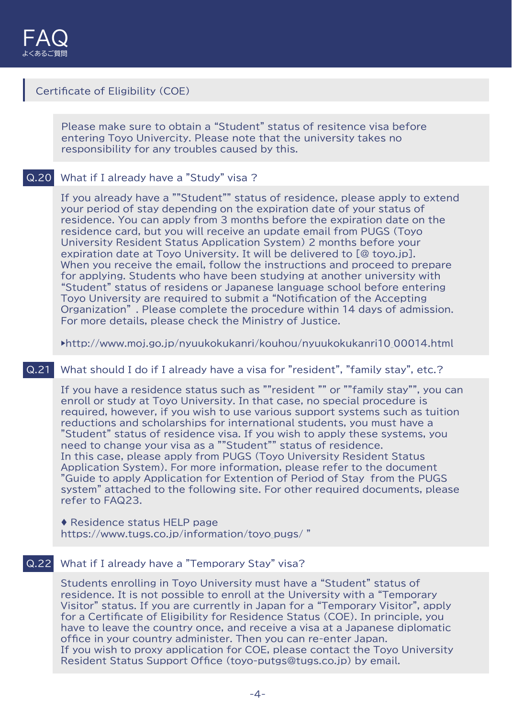# Certificate of Eligibility (COE)

Please make sure to obtain a "Student" status of resitence visa before entering Toyo Univercity. Please note that the university takes no responsibility for any troubles caused by this.

# Q.20 What if I already have a "Study" visa ?

If you already have a ""Student"" status of residence, please apply to extend your period of stay depending on the expiration date of your status of residence. You can apply from 3 months before the expiration date on the residence card, but you will receive an update email from PUGS (Toyo University Resident Status Application System) 2 months before your expiration date at Toyo University. It will be delivered to [@ toyo.jp]. When you receive the email, follow the instructions and proceed to prepare for applying. Students who have been studying at another university with "Student" status of residens or Japanese language school before entering Toyo University are required to submit a "Notification of the Accepting Organization" . Please complete the procedure within 14 days of admission. For more details, please check the Ministry of Justice.

▶http://www.moj.go.jp/nyuukokukanri/kouhou/nyuukokukanri10\_00014.html

#### Q.21 What should I do if I already have a visa for "resident", "family stay", etc.?

If you have a residence status such as ""resident "" or ""family stay"", you can enroll or study at Toyo University. In that case, no special procedure is required, however, if you wish to use various support systems such as tuition reductions and scholarships for international students, you must have a "Student" status of residence visa. If you wish to apply these systems, you need to change your visa as a ""Student"" status of residence. In this case, please apply from PUGS (Toyo University Resident Status Application System). For more information, please refer to the document "Guide to apply Application for Extention of Period of Stay from the PUGS system" attached to the following site. For other required documents, please refer to FAQ23.

♦ Residence status HELP page https://www.tugs.co.jp/information/toyo\_pugs/"

# Q.22 What if I already have a "Temporary Stay" visa?

Students enrolling in Toyo University must have a "Student" status of residence. It is not possible to enroll at the University with a "Temporary Visitor" status. If you are currently in Japan for a "Temporary Visitor", apply for a Certificate of Eligibility for Residence Status (COE). In principle, you have to leave the country once, and receive a visa at a Japanese diplomatic office in your country administer. Then you can re-enter Japan. If you wish to proxy application for COE, please contact the Toyo University Resident Status Support Office (toyo-putgs@tugs.co.jp) by email.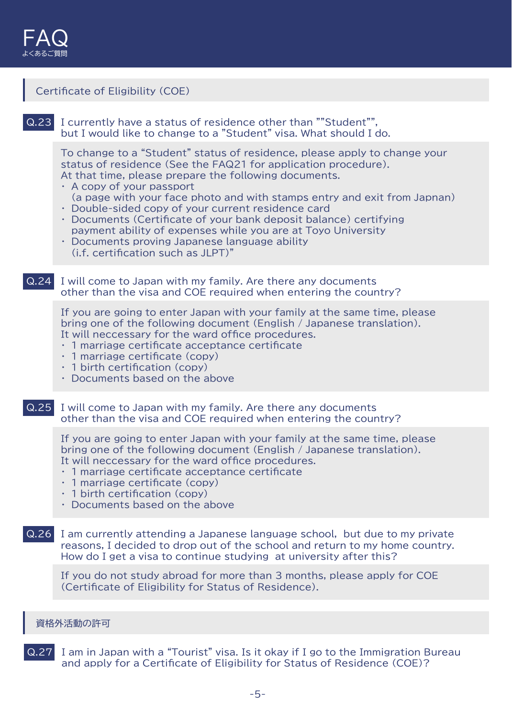### Certificate of Eligibility (COE)

Q.23 I currently have a status of residence other than ""Student"", but I would like to change to a "Student" visa. What should I do.

To change to a "Student" status of residence, please apply to change your status of residence (See the FAQ21 for application procedure). At that time, please prepare the following documents.

- ・ A copy of your passport (a page with your face photo and with stamps entry and exit from Japnan)
- ・ Double-sided copy of your current residence card
- ・ Documents (Certificate of your bank deposit balance) certifying payment ability of expenses while you are at Toyo University
- ・ Documents proving Japanese language ability (i.f. certification such as JLPT)"
- Q.24 I will come to Japan with my family. Are there any documents other than the visa and COE required when entering the country?

If you are going to enter Japan with your family at the same time, please bring one of the following document (English / Japanese translation). It will neccessary for the ward office procedures.

- ・ 1 marriage certificate acceptance certificate
- ・ 1 marriage certificate (copy)
- ・ 1 birth certification (copy)
- ・ Documents based on the above
- Q.25 I will come to Japan with my family. Are there any documents other than the visa and COE required when entering the country?

If you are going to enter Japan with your family at the same time, please bring one of the following document (English / Japanese translation). It will neccessary for the ward office procedures.

- ・ 1 marriage certificate acceptance certificate
- ・ 1 marriage certificate (copy)
- $\cdot$  1 birth certification (copy)
- ・ Documents based on the above
- Q.26 I am currently attending a Japanese language school, but due to my private reasons, I decided to drop out of the school and return to my home country. How do I get a visa to continue studying at university after this?

If you do not study abroad for more than 3 months, please apply for COE (Certificate of Eligibility for Status of Residence).

#### 資格外活動の許可

Q.27 I am in Japan with a "Tourist" visa. Is it okay if I go to the Immigration Bureau and apply for a Certificate of Eligibility for Status of Residence (COE)?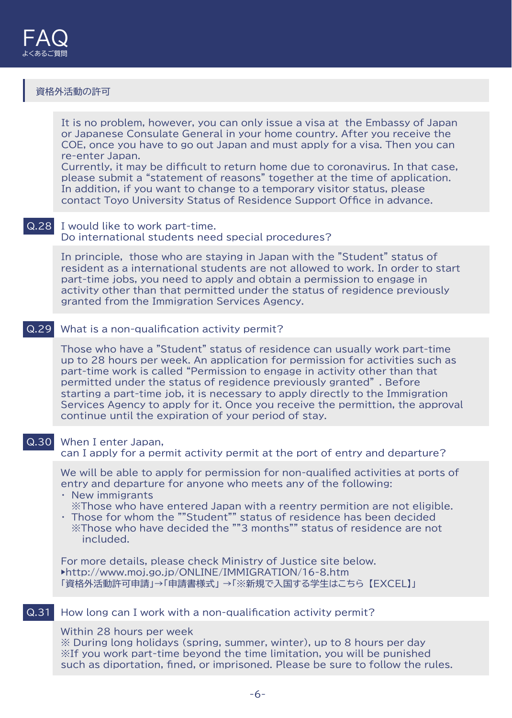### 資格外活動の許可

It is no problem, however, you can only issue a visa at the Embassy of Japan or Japanese Consulate General in your home country. After you receive the COE, once you have to go out Japan and must apply for a visa. Then you can re-enter Japan.

Currently, it may be difficult to return home due to coronavirus. In that case, please submit a "statement of reasons" together at the time of application. In addition, if you want to change to a temporary visitor status, please contact Toyo University Status of Residence Support Office in advance.

#### Q.28 I would like to work part-time. Do international students need special procedures?

In principle, those who are staying in Japan with the "Student" status of resident as a international students are not allowed to work. In order to start part-time jobs, you need to apply and obtain a permission to engage in activity other than that permitted under the status of regidence previously granted from the Immigration Services Agency.

### Q.29 What is a non-qualification activity permit?

Those who have a "Student" status of residence can usually work part-time up to 28 hours per week. An application for permission for activities such as part-time work is called "Permission to engage in activity other than that permitted under the status of regidence previously granted" . Before starting a part-time job, it is necessary to apply directly to the Immigration Services Agency to apply for it. Once you receive the permittion, the approval continue until the expiration of your period of stay.

#### Q.30 When I enter Japan,

can I apply for a permit activity permit at the port of entry and departure?

We will be able to apply for permission for non-qualified activities at ports of entry and departure for anyone who meets any of the following: ・ New immigrants

- ※Those who have entered Japan with a reentry permition are not eligible.
- ・ Those for whom the ""Student"" status of residence has been decided ※Those who have decided the ""3 months"" status of residence are not included.

For more details, please check Ministry of Justice site below. ▶http://www.moj.go.jp/ONLINE/IMMIGRATION/16-8.htm 「資格外活動許可申請」→「申請書様式」 →「※新規で入国する学生はこちら 【EXCEL】」

#### Q.31 How long can I work with a non-qualification activity permit?

Within 28 hours per week

※ During long holidays (spring, summer, winter), up to 8 hours per day ※If you work part-time beyond the time limitation, you will be punished such as diportation, fined, or imprisoned. Please be sure to follow the rules.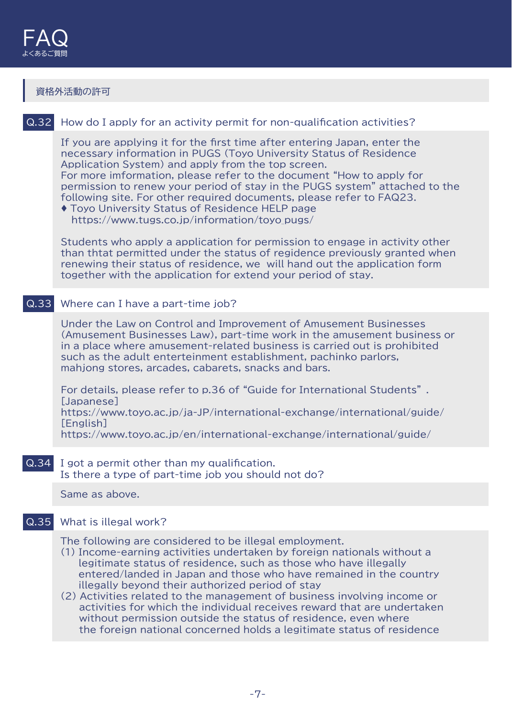#### 資格外活動の許可

# Q.32 How do I apply for an activity permit for non-qualification activities?

If you are applying it for the first time after entering Japan, enter the necessary information in PUGS (Toyo University Status of Residence Application System) and apply from the top screen. For more imformation, please refer to the document "How to apply for permission to renew your period of stay in the PUGS system" attached to the following site. For other required documents, please refer to FAQ23.

♦ Toyo University Status of Residence HELP page https://www.tugs.co.jp/information/toyo\_pugs/

Students who apply a application for permission to engage in activity other than thtat permitted under the status of regidence previously granted when renewing their status of residence, we will hand out the application form together with the application for extend your period of stay.

# Q.33 Where can I have a part-time job?

Under the Law on Control and Improvement of Amusement Businesses (Amusement Businesses Law), part-time work in the amusement business or in a place where amusement-related business is carried out is prohibited such as the adult enterteinment establishment, pachinko parlors, mahjong stores, arcades, cabarets, snacks and bars.

For details, please refer to p.36 of "Guide for International Students" . [Japanese] https://www.toyo.ac.jp/ja-JP/international-exchange/international/guide/ [English]

https://www.toyo.ac.jp/en/international-exchange/international/guide/

# Q.34 I got a permit other than my qualification.

Is there a type of part-time job you should not do?

Same as above.

#### Q.35 What is illegal work?

The following are considered to be illegal employment.

(1) Income-earning activities undertaken by foreign nationals without a legitimate status of residence, such as those who have illegally entered/landed in Japan and those who have remained in the country illegally beyond their authorized period of stay

(2) Activities related to the management of business involving income or activities for which the individual receives reward that are undertaken without permission outside the status of residence, even where the foreign national concerned holds a legitimate status of residence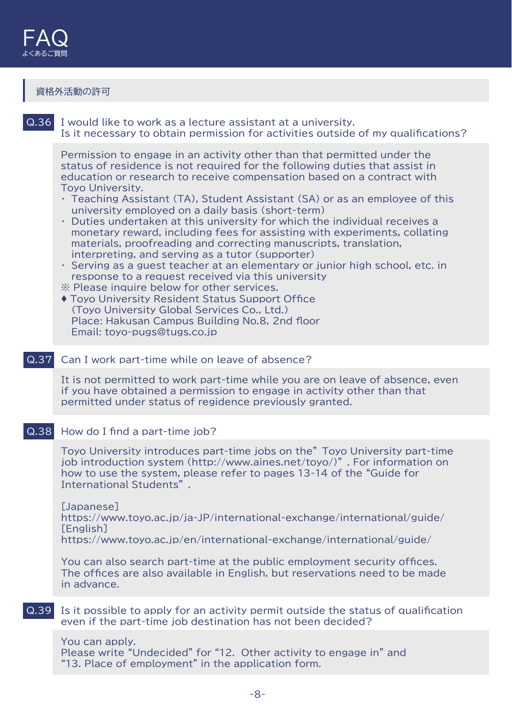# 資格外活動の許可

| Q.36 | I would like to work as a lecture assistant at a university.<br>Is it necessary to obtain permission for activities outside of my qualifications?                                                                                                                                                                                                                                                                                                                                                                                                                                                                                                                                                                                                                                                                                                                                                                                                                                                                                                                           |
|------|-----------------------------------------------------------------------------------------------------------------------------------------------------------------------------------------------------------------------------------------------------------------------------------------------------------------------------------------------------------------------------------------------------------------------------------------------------------------------------------------------------------------------------------------------------------------------------------------------------------------------------------------------------------------------------------------------------------------------------------------------------------------------------------------------------------------------------------------------------------------------------------------------------------------------------------------------------------------------------------------------------------------------------------------------------------------------------|
|      | Permission to engage in an activity other than that permitted under the<br>status of residence is not required for the following duties that assist in<br>education or research to receive compensation based on a contract with<br><b>Toyo University.</b><br>$\cdot$ Teaching Assistant (TA), Student Assistant (SA) or as an employee of this<br>university employed on a daily basis (short-term)<br>Duties undertaken at this university for which the individual receives a<br>$\bullet$<br>monetary reward, including fees for assisting with experiments, collating<br>materials, proofreading and correcting manuscripts, translation,<br>interpreting, and serving as a tutor (supporter)<br>• Serving as a guest teacher at an elementary or junior high school, etc. in<br>response to a request received via this university<br>* Please inquire below for other services.<br>◆ Toyo University Resident Status Support Office<br>(Toyo University Global Services Co., Ltd.)<br>Place: Hakusan Campus Building No.8, 2nd floor<br>Email: toyo-pugs@tugs.co.jp |
| Q.37 | Can I work part-time while on leave of absence?                                                                                                                                                                                                                                                                                                                                                                                                                                                                                                                                                                                                                                                                                                                                                                                                                                                                                                                                                                                                                             |
|      | It is not permitted to work part-time while you are on leave of absence, even<br>if you have obtained a permission to engage in activity other than that<br>permitted under status of regidence previously granted.                                                                                                                                                                                                                                                                                                                                                                                                                                                                                                                                                                                                                                                                                                                                                                                                                                                         |
| Q.38 | How do I find a part-time job?                                                                                                                                                                                                                                                                                                                                                                                                                                                                                                                                                                                                                                                                                                                                                                                                                                                                                                                                                                                                                                              |
|      | Toyo University introduces part-time jobs on the" Toyo University part-time<br>job introduction system (http://www.aines.net/toyo/)". For information on<br>how to use the system, please refer to pages 13-14 of the "Guide for<br>International Students"                                                                                                                                                                                                                                                                                                                                                                                                                                                                                                                                                                                                                                                                                                                                                                                                                 |
|      | [Japanese]<br>https://www.toyo.ac.jp/ja-JP/international-exchange/international/guide/<br>[English]<br>https://www.toyo.ac.jp/en/international-exchange/international/guide/                                                                                                                                                                                                                                                                                                                                                                                                                                                                                                                                                                                                                                                                                                                                                                                                                                                                                                |
|      | You can also search part-time at the public employment security offices.<br>The offices are also available in English, but reservations need to be made<br>in advance.                                                                                                                                                                                                                                                                                                                                                                                                                                                                                                                                                                                                                                                                                                                                                                                                                                                                                                      |
| Q.39 | Is it possible to apply for an activity permit outside the status of qualification<br>even if the part-time job destination has not been decided?                                                                                                                                                                                                                                                                                                                                                                                                                                                                                                                                                                                                                                                                                                                                                                                                                                                                                                                           |
|      |                                                                                                                                                                                                                                                                                                                                                                                                                                                                                                                                                                                                                                                                                                                                                                                                                                                                                                                                                                                                                                                                             |

You can apply. Please write "Undecided" for "12. Other activity to engage in" and "13. Place of employment" in the application form.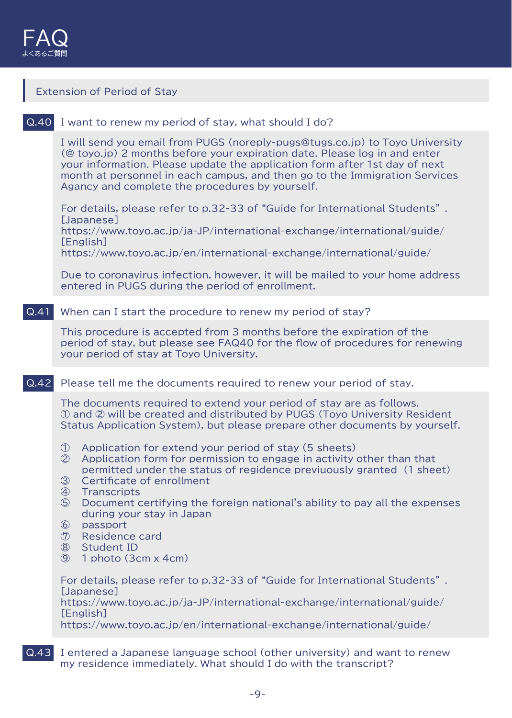

# Extension of Period of Stay Q.40 I want to renew my period of stay, what should I do? I will send you email from PUGS (noreply-pugs@tugs.co.jp) to Toyo University (@ toyo.jp) 2 months before your expiration date. Please log in and enter your information. Please update the application form after 1st day of next month at personnel in each campus, and then go to the Immigration Services Agancy and complete the procedures by yourself. For details, please refer to p.32-33 of "Guide for International Students" . [Japanese] https://www.toyo.ac.jp/ja-JP/international-exchange/international/guide/ [English] https://www.toyo.ac.jp/en/international-exchange/international/guide/ Due to coronavirus infection, however, it will be mailed to your home address entered in PUGS during the period of enrollment. Q.41 When can I start the procedure to renew my period of stay? This procedure is accepted from 3 months before the expiration of the period of stay, but please see FAQ40 for the flow of procedures for renewing your period of stay at Toyo University. Q.42 Please tell me the documents required to renew your period of stay. The documents required to extend your period of stay are as follows. ① and ② will be created and distributed by PUGS (Toyo University Resident Status Application System), but please prepare other documents by yourself. ① Application for extend your period of stay (5 sheets) ② Application form for permission to engage in activity other than that permitted under the status of regidence previuously granted (1 sheet) ③ Certificate of enrollment ④ Transcripts ⑤ Document certifying the foreign national's ability to pay all the expenses during your stay in Japan ⑥ passport ⑦ Residence card ⑧ Student ID ⑨ 1 photo (3cm x 4cm) For details, please refer to p.32-33 of "Guide for International Students" . [Japanese] https://www.toyo.ac.jp/ja-JP/international-exchange/international/guide/ [English] https://www.toyo.ac.jp/en/international-exchange/international/guide/

Q.43 I entered a Japanese language school (other university) and want to renew my residence immediately. What should I do with the transcript?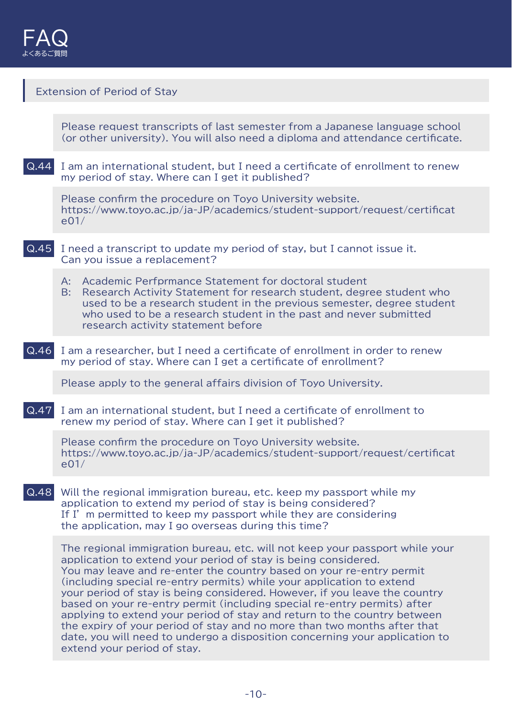

# Extension of Period of Stay

Please request transcripts of last semester from a Japanese language school (or other university). You will also need a diploma and attendance certificate.

Q.44 I am an international student, but I need a certificate of enrollment to renew my period of stay. Where can I get it published?

Please confirm the procedure on Toyo University website. https://www.toyo.ac.jp/ja-JP/academics/student-support/request/certificat e01/

- Q.45 I need a transcript to update my period of stay, but I cannot issue it. Can you issue a replacement?
	- A: Academic Perfprmance Statement for doctoral student
	- B: Research Activity Statement for research student, degree student who used to be a research student in the previous semester, degree student who used to be a research student in the past and never submitted research activity statement before
- Q.46 I am a researcher, but I need a certificate of enrollment in order to renew my period of stay. Where can I get a certificate of enrollment?

Please apply to the general affairs division of Toyo University.

Q.47 I am an international student, but I need a certificate of enrollment to renew my period of stay. Where can I get it published?

Please confirm the procedure on Toyo University website. https://www.toyo.ac.jp/ja-JP/academics/student-support/request/certificat e01/

Q.48 Will the regional immigration bureau, etc. keep my passport while my application to extend my period of stay is being considered? If I' m permitted to keep my passport while they are considering the application, may I go overseas during this time?

The regional immigration bureau, etc. will not keep your passport while your application to extend your period of stay is being considered. You may leave and re-enter the country based on your re-entry permit (including special re-entry permits) while your application to extend your period of stay is being considered. However, if you leave the country based on your re-entry permit (including special re-entry permits) after applying to extend your period of stay and return to the country between the expiry of your period of stay and no more than two months after that date, you will need to undergo a disposition concerning your application to extend your period of stay.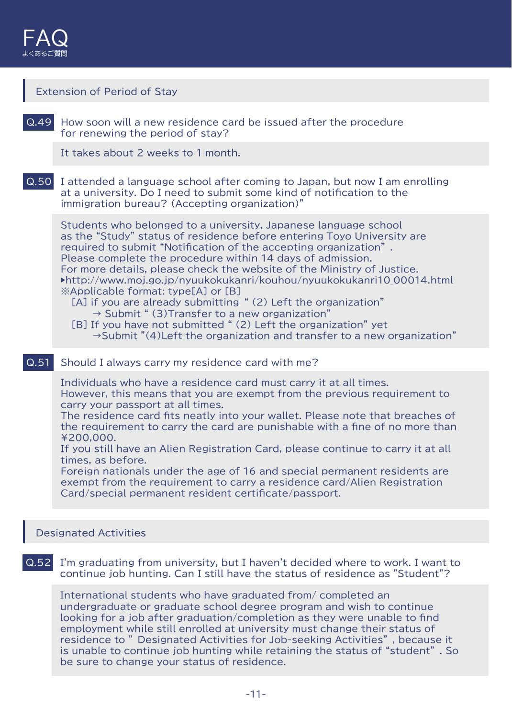

|      | <b>Extension of Period of Stay</b>                                                                                                                                                                                                                                                                                                                                                                                                                                                                                                                                                                                                                                                                                                                                               |
|------|----------------------------------------------------------------------------------------------------------------------------------------------------------------------------------------------------------------------------------------------------------------------------------------------------------------------------------------------------------------------------------------------------------------------------------------------------------------------------------------------------------------------------------------------------------------------------------------------------------------------------------------------------------------------------------------------------------------------------------------------------------------------------------|
| Q.49 | How soon will a new residence card be issued after the procedure<br>for renewing the period of stay?                                                                                                                                                                                                                                                                                                                                                                                                                                                                                                                                                                                                                                                                             |
|      | It takes about 2 weeks to 1 month.                                                                                                                                                                                                                                                                                                                                                                                                                                                                                                                                                                                                                                                                                                                                               |
| Q.50 | I attended a language school after coming to Japan, but now I am enrolling<br>at a university. Do I need to submit some kind of notification to the<br>immigration bureau? (Accepting organization)"                                                                                                                                                                                                                                                                                                                                                                                                                                                                                                                                                                             |
|      | Students who belonged to a university, Japanese language school<br>as the "Study" status of residence before entering Toyo University are<br>required to submit "Notification of the accepting organization".<br>Please complete the procedure within 14 days of admission.<br>For more details, please check the website of the Ministry of Justice.<br>$\blacktriangleright$ http://www.moj.go.jp/nyuukokukanri/kouhou/nyuukokukanri10 00014.html<br>*Applicable format: type[A] or [B]<br>[A] if you are already submitting "(2) Left the organization"<br>$\rightarrow$ Submit " (3) Transfer to a new organization"<br>[B] If you have not submitted " (2) Left the organization" yet<br>$\rightarrow$ Submit "(4)Left the organization and transfer to a new organization" |
| Q.51 | Should I always carry my residence card with me?                                                                                                                                                                                                                                                                                                                                                                                                                                                                                                                                                                                                                                                                                                                                 |
|      | Individuals who have a residence card must carry it at all times.<br>However, this means that you are exempt from the previous requirement to<br>carry your passport at all times.<br>The residence card fits neatly into your wallet. Please note that breaches of<br>the requirement to carry the card are punishable with a fine of no more than<br>¥200,000.<br>If you still have an Alien Registration Card, please continue to carry it at all<br>times, as before.                                                                                                                                                                                                                                                                                                        |

Foreign nationals under the age of 16 and special permanent residents are exempt from the requirement to carry a residence card/Alien Registration Card/special permanent resident certificate/passport.

# Designated Activities

Q.52 I'm graduating from university, but I haven't decided where to work. I want to continue job hunting. Can I still have the status of residence as "Student"?

International students who have graduated from/ completed an undergraduate or graduate school degree program and wish to continue looking for a job after graduation/completion as they were unable to find employment while still enrolled at university must change their status of residence to " Designated Activities for Job-seeking Activities" , because it is unable to continue job hunting while retaining the status of "student" . So be sure to change your status of residence.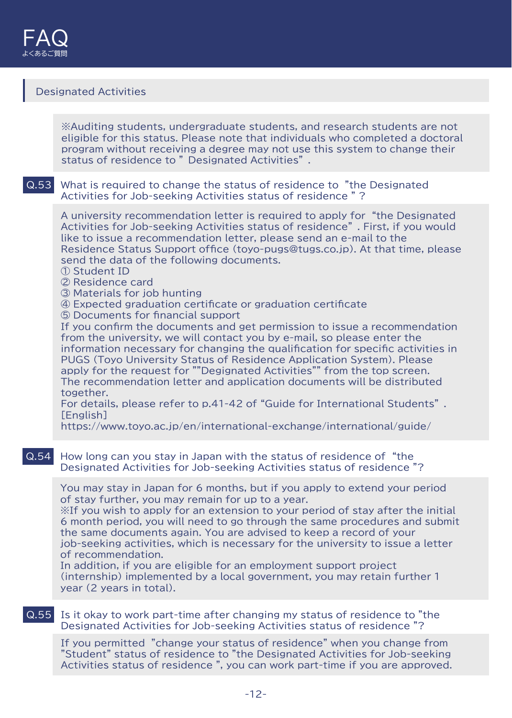# Designated Activities

※Auditing students, undergraduate students, and research students are not eligible for this status. Please note that individuals who completed a doctoral program without receiving a degree may not use this system to change their status of residence to " Designated Activities" .

#### Q.53 What is required to change the status of residence to "the Designated Activities for Job-seeking Activities status of residence " ?

A university recommendation letter is required to apply for "the Designated Activities for Job-seeking Activities status of residence" . First, if you would like to issue a recommendation letter, please send an e-mail to the Residence Status Support office (toyo-pugs@tugs.co.jp). At that time, please send the data of the following documents.

- ① Student ID
- ② Residence card
- ③ Materials for job hunting
- ④ Expected graduation certificate or graduation certificate
- ⑤ Documents for financial support

If you confirm the documents and get permission to issue a recommendation from the university, we will contact you by e-mail, so please enter the information necessary for changing the qualification for specific activities in PUGS (Toyo University Status of Residence Application System). Please apply for the request for ""Degignated Activities"" from the top screen. The recommendation letter and application documents will be distributed together.

For details, please refer to p.41-42 of "Guide for International Students" . [English]

https://www.toyo.ac.jp/en/international-exchange/international/guide/

#### Q.54 How long can you stay in Japan with the status of residence of "the Designated Activities for Job-seeking Activities status of residence "?

You may stay in Japan for 6 months, but if you apply to extend your period of stay further, you may remain for up to a year.

※If you wish to apply for an extension to your period of stay after the initial 6 month period, you will need to go through the same procedures and submit the same documents again. You are advised to keep a record of your job-seeking activities, which is necessary for the university to issue a letter of recommendation.

In addition, if you are eligible for an employment support project (internship) implemented by a local government, you may retain further 1 year (2 years in total).

### Q.55 Is it okay to work part-time after changing my status of residence to "the Designated Activities for Job-seeking Activities status of residence "?

If you permitted "change your status of residence" when you change from "Student" status of residence to "the Designated Activities for Job-seeking Activities status of residence ", you can work part-time if you are approved.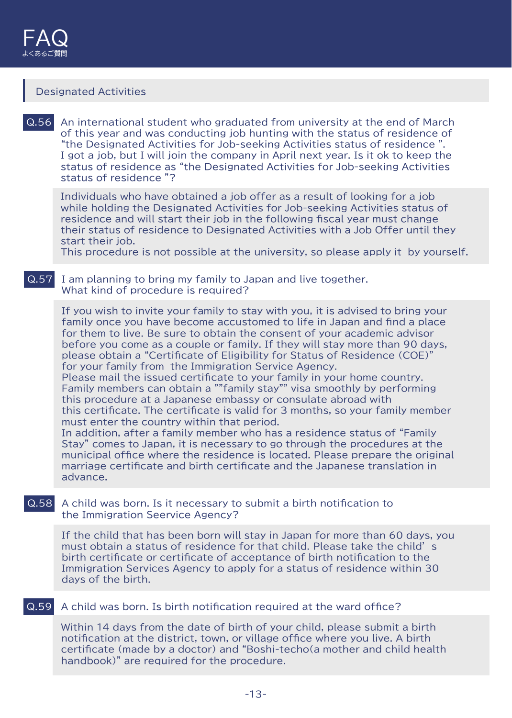# Designated Activities

Q.56 An international student who graduated from university at the end of March of this year and was conducting job hunting with the status of residence of "the Designated Activities for Job-seeking Activities status of residence ". I got a job, but I will join the company in April next year. Is it ok to keep the status of residence as "the Designated Activities for Job-seeking Activities status of residence "?

Individuals who have obtained a job offer as a result of looking for a job while holding the Designated Activities for Job-seeking Activities status of residence and will start their job in the following fiscal year must change their status of residence to Designated Activities with a Job Offer until they start their job.

This procedure is not possible at the university, so please apply it by yourself.

#### Q.57 I am planning to bring my family to Japan and live together. What kind of procedure is required?

If you wish to invite your family to stay with you, it is advised to bring your family once you have become accustomed to life in Japan and find a place for them to live. Be sure to obtain the consent of your academic advisor before you come as a couple or family. If they will stay more than 90 days, please obtain a "Certificate of Eligibility for Status of Residence (COE)" for your family from the Immigration Service Agency.

Please mail the issued certificate to your family in your home country. Family members can obtain a ""family stay"" visa smoothly by performing this procedure at a Japanese embassy or consulate abroad with this certificate. The certificate is valid for 3 months, so your family member must enter the country within that period.

In addition, after a family member who has a residence status of "Family Stay" comes to Japan, it is necessary to go through the procedures at the municipal office where the residence is located. Please prepare the original marriage certificate and birth certificate and the Japanese translation in advance.

### Q.58 A child was born. Is it necessary to submit a birth notification to the Immigration Seervice Agency?

If the child that has been born will stay in Japan for more than 60 days, you must obtain a status of residence for that child. Please take the child' s birth certificate or certificate of acceptance of birth notification to the Immigration Services Agency to apply for a status of residence within 30 days of the birth.

#### Q.59 A child was born. Is birth notification required at the ward office?

Within 14 days from the date of birth of your child, please submit a birth notification at the district, town, or village office where you live. A birth certificate (made by a doctor) and "Boshi-techo(a mother and child health handbook)" are required for the procedure.